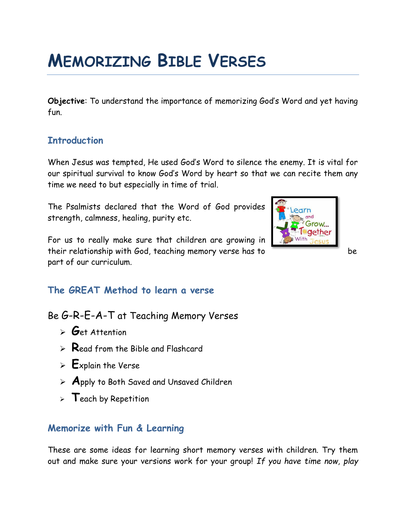# **MEMORIZING BIBLE VERSES**

**Objective**: To understand the importance of memorizing God's Word and yet having fun.

## **Introduction**

When Jesus was tempted, He used God's Word to silence the enemy. It is vital for our spiritual survival to know God's Word by heart so that we can recite them any time we need to but especially in time of trial.

The Psalmists declared that the Word of God provides strength, calmness, healing, purity etc.

For us to really make sure that children are growing in their relationship with God, teaching memory verse has to be part of our curriculum.



## **The GREAT Method to learn a verse**

Be G-R-E-A-T at Teaching Memory Verses

- ➢ **G**et Attention
- ➢ **R**ead from the Bible and Flashcard
- ➢ **E**xplain the Verse
- ➢ **A**pply to Both Saved and Unsaved Children
- ➢ **T**each by Repetition

## **Memorize with Fun & Learning**

These are some ideas for learning short memory verses with children. Try them out and make sure your versions work for your group! *If you have time now, play*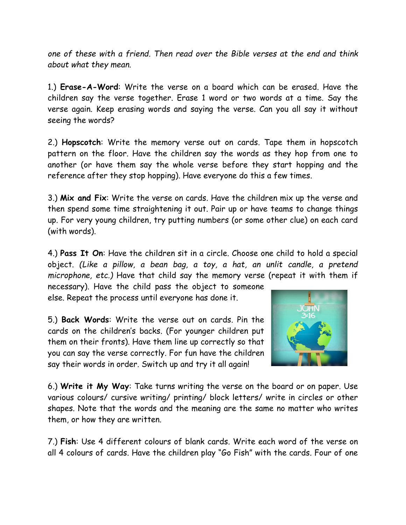*one of these with a friend. Then read over the Bible verses at the end and think about what they mean.*

1.) **Erase-A-Word**: Write the verse on a board which can be erased. Have the children say the verse together. Erase 1 word or two words at a time. Say the verse again. Keep erasing words and saying the verse. Can you all say it without seeing the words?

2.) **Hopscotch**: Write the memory verse out on cards. Tape them in hopscotch pattern on the floor. Have the children say the words as they hop from one to another (or have them say the whole verse before they start hopping and the reference after they stop hopping). Have everyone do this a few times.

3.) **Mix and Fix**: Write the verse on cards. Have the children mix up the verse and then spend some time straightening it out. Pair up or have teams to change things up. For very young children, try putting numbers (or some other clue) on each card (with words).

4.) **Pass It On**: Have the children sit in a circle. Choose one child to hold a special object. *(Like a pillow, a bean bag, a toy, a hat, an unlit candle, a pretend microphone, etc.)* Have that child say the memory verse (repeat it with them if

necessary). Have the child pass the object to someone else. Repeat the process until everyone has done it.

5.) **Back Words**: Write the verse out on cards. Pin the cards on the children's backs. (For younger children put them on their fronts). Have them line up correctly so that you can say the verse correctly. For fun have the children say their words in order. Switch up and try it all again!



6.) **Write it My Way**: Take turns writing the verse on the board or on paper. Use various colours/ cursive writing/ printing/ block letters/ write in circles or other shapes. Note that the words and the meaning are the same no matter who writes them, or how they are written.

7.) **Fish**: Use 4 different colours of blank cards. Write each word of the verse on all 4 colours of cards. Have the children play "Go Fish" with the cards. Four of one